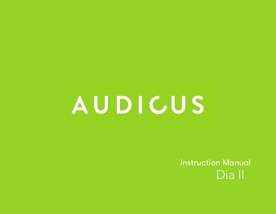# **AUDICUS**

Instruction Manual Dia II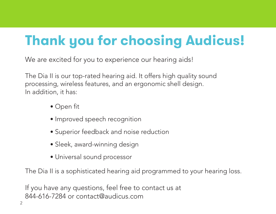# **Thank you for choosing Audicus!**

We are excited for you to experience our hearing aids!

The Dia II is our top-rated hearing aid. It offers high quality sound processing, wireless features, and an ergonomic shell design. In addition, it has:

- Open fit
- Improved speech recognition
- Superior feedback and noise reduction
- Sleek, award-winning design
- Universal sound processor

The Dia II is a sophisticated hearing aid programmed to your hearing loss.

If you have any questions, feel free to contact us at 844-616-7284 or contact@audicus.com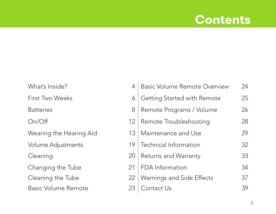#### **Contents**

| What's Inside?          |   |
|-------------------------|---|
| First Two Weeks         |   |
| <b>Batteries</b>        |   |
| On/Off                  | 1 |
| Wearing the Hearing Aid | 1 |
| Volume Adjustments      | 1 |
| Cleaning                | 2 |
| Changing the Tube       | 2 |
| Cleaning the Tube       | 2 |
| Basic Volume Remote     | 2 |

| What's Inside?          |    | <b>Basic Volume Remote Overview</b> | 24 |
|-------------------------|----|-------------------------------------|----|
| First Two Weeks         | 6  | Getting Started with Remote         | 25 |
| <b>Batteries</b>        | 8  | Remote Programs / Volume            | 26 |
| On/Off                  | 12 | Remote Troubleshooting              | 28 |
| Wearing the Hearing Aid | 13 | Maintenance and Use                 | 29 |
| Volume Adjustments      | 19 | Technical Information               | 32 |
| Cleaning                | 20 | Returns and Warranty                | 33 |
| Changing the Tube       | 21 | FDA Information                     | 34 |
| Cleaning the Tube       | 22 | Warnings and Side Effects           | 37 |
| Basic Volume Remote     | 23 | Contact Us                          | 39 |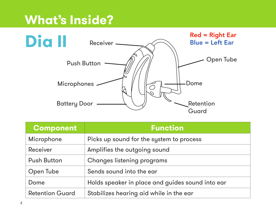### **What's Inside?**



| <b>Component</b>       | <b>Function</b>                                  |
|------------------------|--------------------------------------------------|
| Microphone             | Picks up sound for the system to process         |
| Receiver               | Amplifies the outgoing sound                     |
| Push Button            | Changes listening programs                       |
| Open Tube              | Sends sound into the ear                         |
| Dome                   | Holds speaker in place and guides sound into ear |
| <b>Retention Guard</b> | Stabilizes hearing aid while in the ear          |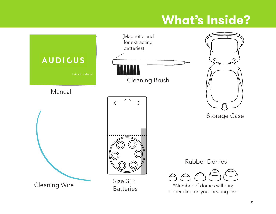# **What's Inside?**

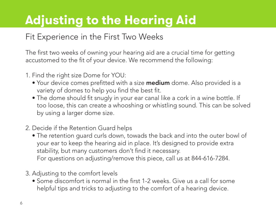# **Adjusting to the Hearing Aid**

#### Fit Experience in the First Two Weeks

The first two weeks of owning your hearing aid are a crucial time for getting accustomed to the fit of your device. We recommend the following:

- 1. Find the right size Dome for YOU:
	- Your device comes prefitted with a size **medium** dome. Also provided is a variety of domes to help you find the best fit.
	- The dome should fit snugly in your ear canal like a cork in a wine bottle. If too loose, this can create a whooshing or whistling sound. This can be solved by using a larger dome size.
- 2. Decide if the Retention Guard helps
	- The retention guard curls down, towads the back and into the outer bowl of your ear to keep the hearing aid in place. It's designed to provide extra stability, but many customers don't find it necessary. For questions on adjusting/remove this piece, call us at 844-616-7284.
- 3. Adjusting to the comfort levels
	- Some discomfort is normal in the first 1-2 weeks. Give us a call for some helpful tips and tricks to adjusting to the comfort of a hearing device.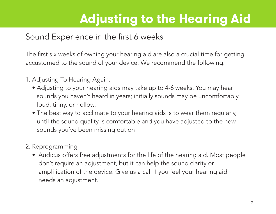# **Adjusting to the Hearing Aid**

#### Sound Experience in the first 6 weeks

The first six weeks of owning your hearing aid are also a crucial time for getting accustomed to the sound of your device. We recommend the following:

- 1. Adjusting To Hearing Again:
	- Adjusting to your hearing aids may take up to 4-6 weeks. You may hear sounds you haven't heard in years; initially sounds may be uncomfortably loud, tinny, or hollow.
	- The best way to acclimate to your hearing aids is to wear them regularly, until the sound quality is comfortable and you have adjusted to the new sounds you've been missing out on!
- 2. Reprogramming
	- Audicus offers free adjustments for the life of the hearing aid. Most people don't require an adjustment, but it can help the sound clarity or amplification of the device. Give us a call if you feel your hearing aid needs an adjustment.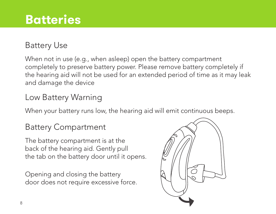#### Battery Use

When not in use (e.g., when asleep) open the battery compartment completely to preserve battery power. Please remove battery completely if the hearing aid will not be used for an extended period of time as it may leak and damage the device

#### Low Battery Warning

When your battery runs low, the hearing aid will emit continuous beeps.

#### Battery Compartment

The battery compartment is at the back of the hearing aid. Gently pull the tab on the battery door until it opens.

Opening and closing the battery door does not require excessive force.

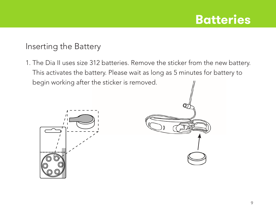#### Inserting the Battery

1. The Dia II uses size 312 batteries. Remove the sticker from the new battery. This activates the battery. Please wait as long as 5 minutes for battery to begin working after the sticker is removed.



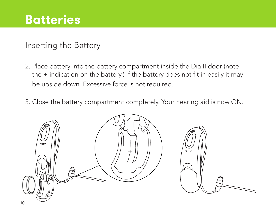Inserting the Battery

- 2. Place battery into the battery compartment inside the Dia II door (note the + indication on the battery.) If the battery does not fit in easily it may be upside down. Excessive force is not required.
- 3. Close the battery compartment completely. Your hearing aid is now ON.

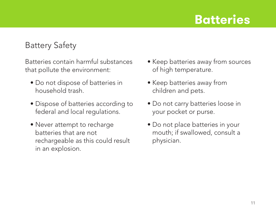#### Battery Safety

Batteries contain harmful substances that pollute the environment:

- Do not dispose of batteries in household trash.
- Dispose of batteries according to federal and local regulations.
- Never attempt to recharge batteries that are not rechargeable as this could result in an explosion.
- Keep batteries away from sources of high temperature.
- Keep batteries away from children and pets.
- Do not carry batteries loose in your pocket or purse.
- Do not place batteries in your mouth; if swallowed, consult a physician.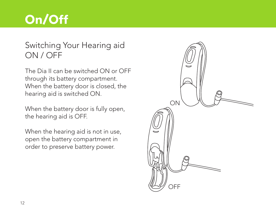### **On/Off**

#### Switching Your Hearing aid ON / OFF

The Dia II can be switched ON or OFF through its battery compartment. When the battery door is closed, the hearing aid is switched ON.

When the battery door is fully open, the hearing aid is OFF.

When the hearing aid is not in use, open the battery compartment in order to preserve battery power.

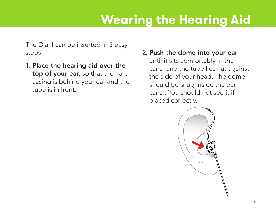The Dia II can be inserted in 3 easy steps:

- 1. Place the hearing aid over the top of your ear, so that the hard casing is behind your ear and the tube is in front.
- 2. Push the dome into your ear until it sits comfortably in the canal and the tube lies flat against the side of your head. The dome should be snug inside the ear canal. You should not see it if placed correctly.

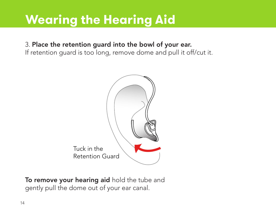#### 3. Place the retention guard into the bowl of your ear.

If retention guard is too long, remove dome and pull it off/cut it.



To remove your hearing aid hold the tube and gently pull the dome out of your ear canal.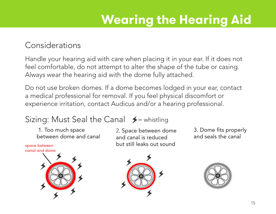#### Considerations

Handle your hearing aid with care when placing it in your ear. If it does not feel comfortable, do not attempt to alter the shape of the tube or casing. Always wear the hearing aid with the dome fully attached.

Do not use broken domes. If a dome becomes lodged in your ear, contact a medical professional for removal. If you feel physical discomfort or experience irritation, contact Audicus and/or a hearing professional.

#### Sizing: Must Seal the Canal  $\blacktriangleright$  = whistling

 1. Too much space between dome and canal

space between canal and dome



2. Space between dome and canal is reduced but still leaks out sound

3. Dome fits properly and seals the canal



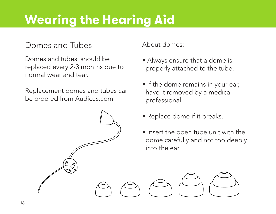#### Domes and Tubes

Domes and tubes should be replaced every 2-3 months due to normal wear and tear.

Replacement domes and tubes can be ordered from Audicus.com

About domes:

- Always ensure that a dome is properly attached to the tube.
- If the dome remains in your ear, have it removed by a medical professional.
- Replace dome if it breaks.
- Insert the open tube unit with the dome carefully and not too deeply into the ear.

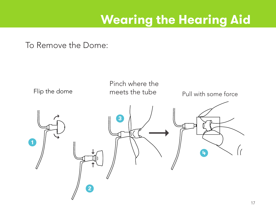To Remove the Dome:

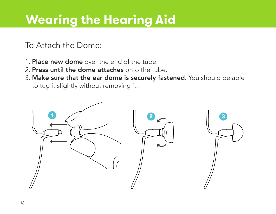#### To Attach the Dome:

- 1. **Place new dome** over the end of the tube.
- 2. Press until the dome attaches onto the tube.
- 3. Make sure that the ear dome is securely fastened. You should be able to tug it slightly without removing it.

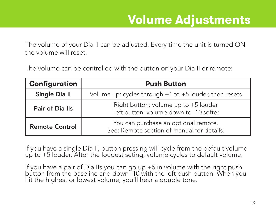### **Volume Adjustments**

The volume of your Dia II can be adjusted. Every time the unit is turned ON the volume will reset.

The volume can be controlled with the button on your Dia II or remote:

| Configuration                                                                                               | <b>Push Button</b>                                                             |  |
|-------------------------------------------------------------------------------------------------------------|--------------------------------------------------------------------------------|--|
| Single Dia II                                                                                               | Volume up: cycles through +1 to +5 louder, then resets                         |  |
| Pair of Dia Ils                                                                                             | Right button: volume up to +5 louder<br>Left button: volume down to -10 softer |  |
| You can purchase an optional remote.<br><b>Remote Control</b><br>See: Remote section of manual for details. |                                                                                |  |

If you have a single Dia II, button pressing will cycle from the default volume up to +5 louder. After the loudest seting, volume cycles to default volume.

If you have a pair of Dia IIs you can go up +5 in volume with the right push button from the baseline and down -10 with the left push button. When you hit the highest or lowest volume, you'll hear a double tone.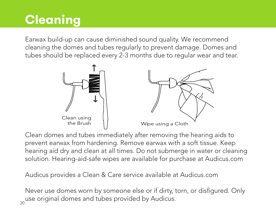# **Cleaning**

Earwax build-up can cause diminished sound quality. We recommend cleaning the domes and tubes regularly to prevent damage. Domes and tubes should be replaced every 2-3 months due to regular wear and tear.



Clean domes and tubes immediately after removing the hearing aids to prevent earwax from hardening. Remove earwax with a soft tissue. Keep hearing aid dry and clean at all times. Do not submerge in water or cleaning solution. Hearing-aid-safe wipes are available for purchase at Audicus.com

Audicus provides a Clean & Care service available at Audicus.com

 $_{\rm 20}$ use original domes and tubes provided by Audicus. Never use domes worn by someone else or if dirty, torn, or disfigured. Only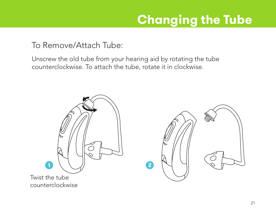# **Changing the Tube**

To Remove/Attach Tube:

Unscrew the old tube from your hearing aid by rotating the tube counterclockwise. To attach the tube, rotate it in clockwise.



counterclockwise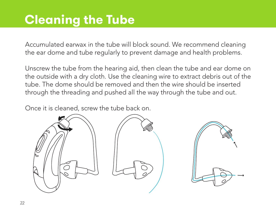## **Cleaning the Tube**

Accumulated earwax in the tube will block sound. We recommend cleaning the ear dome and tube regularly to prevent damage and health problems.

Unscrew the tube from the hearing aid, then clean the tube and ear dome on the outside with a dry cloth. Use the cleaning wire to extract debris out of the tube. The dome should be removed and then the wire should be inserted through the threading and pushed all the way through the tube and out.

Once it is cleaned, screw the tube back on.

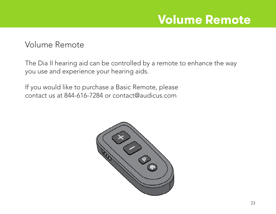#### **Volume Remote**

#### Volume Remote

The Dia II hearing aid can be controlled by a remote to enhance the way you use and experience your hearing aids.

If you would like to purchase a Basic Remote, please contact us at 844-616-7284 or contact@audicus.com

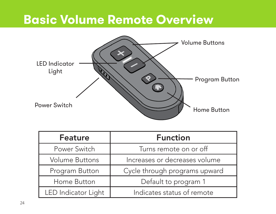### **Basic Volume Remote Overview**



| <b>Feature</b>        | <b>Function</b>               |
|-----------------------|-------------------------------|
| Power Switch          | Turns remote on or off        |
| <b>Volume Buttons</b> | Increases or decreases volume |
| Program Button        | Cycle through programs upward |
| Home Button           | Default to program 1          |
| LED Indicator Light   | Indicates status of remote    |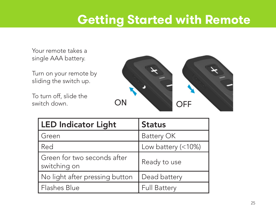### **Getting Started with Remote**

Your remote takes a single AAA battery.

Turn on your remote by sliding the switch up.

To turn off, slide the switch down.



| <b>LED Indicator Light</b>                  | <b>Status</b>       |
|---------------------------------------------|---------------------|
| Green                                       | Battery OK          |
| Red                                         | Low battery (<10%)  |
| Green for two seconds after<br>switching on | Ready to use        |
| No light after pressing button              | Dead battery        |
| Flashes Blue                                | <b>Full Battery</b> |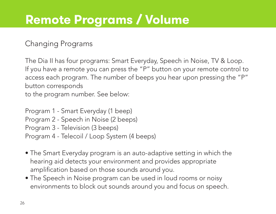# **Remote Programs / Volume**

#### Changing Programs

The Dia II has four programs: Smart Everyday, Speech in Noise, TV & Loop. If you have a remote you can press the "P" button on your remote control to access each program. The number of beeps you hear upon pressing the "P" button corresponds to the program number. See below:

Program 1 - Smart Everyday (1 beep) Program 2 - Speech in Noise (2 beeps) Program 3 - Television (3 beeps) Program 4 - Telecoil / Loop System (4 beeps)

- The Smart Everyday program is an auto-adaptive setting in which the hearing aid detects your environment and provides appropriate amplification based on those sounds around you.
- The Speech in Noise program can be used in loud rooms or noisy environments to block out sounds around you and focus on speech.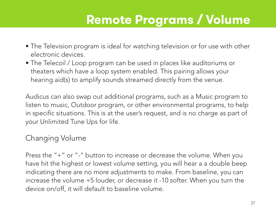# **Remote Programs / Volume**

- The Television program is ideal for watching television or for use with other electronic devices.
- The Telecoil / Loop program can be used in places like auditoriums or theaters which have a loop system enabled. This pairing allows your hearing aid(s) to amplify sounds streamed directly from the venue.

Audicus can also swap out additional programs, such as a Music program to listen to music, Outdoor program, or other environmental programs, to help in specific situations. This is at the user's request, and is no charge as part of your Unlimited Tune Ups for life.

#### Changing Volume

Press the "+" or "-" button to increase or decrease the volume. When you have hit the highest or lowest volume setting, you will hear a a double beep indicating there are no more adjustments to make. From baseline, you can increase the volume +5 louder, or decrease it -10 softer. When you turn the device on/off, it will default to baseline volume.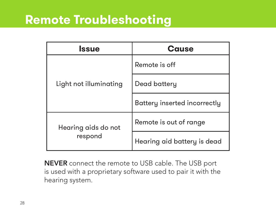#### **Remote Troubleshooting**

| Issue                          | Cause                        |
|--------------------------------|------------------------------|
| Light not illuminating         | Remote is off                |
|                                | Dead battery                 |
|                                | Battery inserted incorrectly |
| Hearing aids do not<br>respond | Remote is out of range       |
|                                | Hearing aid battery is dead  |

**NEVER** connect the remote to USB cable. The USB port is used with a proprietary software used to pair it with the hearing system.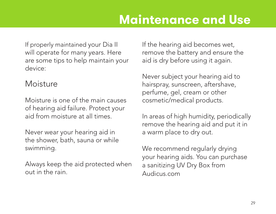If properly maintained your Dia II will operate for many years. Here are some tips to help maintain your device:

#### Moisture

Moisture is one of the main causes of hearing aid failure. Protect your aid from moisture at all times.

Never wear your hearing aid in the shower, bath, sauna or while swimming.

Always keep the aid protected when out in the rain.

If the hearing aid becomes wet, remove the battery and ensure the aid is dry before using it again.

Never subject your hearing aid to hairspray, sunscreen, aftershave, perfume, gel, cream or other cosmetic/medical products.

In areas of high humidity, periodically remove the hearing aid and put it in a warm place to dry out.

We recommend regularly drying your hearing aids. You can purchase a sanitizing UV Dry Box from Audicus.com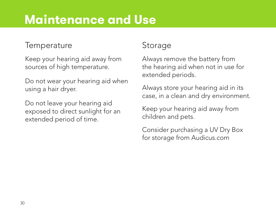### **Maintenance and Use**

#### **Temperature**

Keep your hearing aid away from sources of high temperature.

Do not wear your hearing aid when using a hair dryer.

Do not leave your hearing aid exposed to direct sunlight for an extended period of time.

#### Storage

Always remove the battery from the hearing aid when not in use for extended periods.

Always store your hearing aid in its case, in a clean and dry environment.

Keep your hearing aid away from children and pets.

Consider purchasing a UV Dry Box for storage from Audicus.com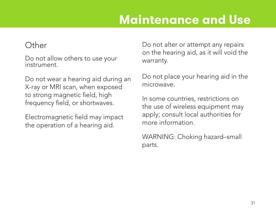### **Maintenance and Use**

#### Other

Do not allow others to use your instrument.

Do not wear a hearing aid during an X-ray or MRI scan, when exposed to strong magnetic field, high frequency field, or shortwaves.

Electromagnetic field may impact the operation of a hearing aid.

Do not alter or attempt any repairs on the hearing aid, as it will void the warranty.

Do not place your hearing aid in the microwave.

In some countries, restrictions on the use of wireless equipment may apply; consult local authorities for more information.

WARNING: Choking hazard–small parts.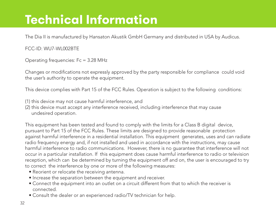# **Technical Information**

The Dia II is manufactured by Hansaton Akustik GmbH Germany and distributed in USA by Audicus.

FCC-ID: WU7-WL002BTE

Operating frequencies: Fc = 3.28 MHz

Changes or modifications not expressly approved by the party responsible for compliance could void the user's authority to operate the equipment.

This device complies with Part 15 of the FCC Rules. Operation is subject to the following conditions:

- (1) this device may not cause harmful interference, and
- (2) this device must accept any interference received, including interference that may cause undesired operation.

This equipment has been tested and found to comply with the limits for a Class B digital device, pursuant to Part 15 of the FCC Rules. These limits are designed to provide reasonable protection against harmful interference in a residential installation. This equipment generates, uses and can radiate radio frequency energy and, if not installed and used in accordance with the instructions, may cause harmful interference to radio communications. However, there is no guarantee that interference will not occur in a particular installation. If this equipment does cause harmful interference to radio or television reception, which can be determined by turning the equipment off and on, the user is encouraged to try to correct the interference by one or more of the following measures:

- Reorient or relocate the receiving antenna.
- Increase the separation between the equipment and receiver.
- Connect the equipment into an outlet on a circuit different from that to which the receiver is connected.
- Consult the dealer or an experienced radio/TV technician for help.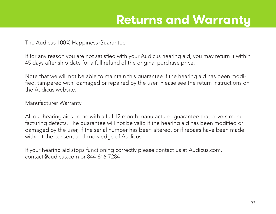### **Returns and Warranty**

The Audicus 100% Happiness Guarantee

If for any reason you are not satisfied with your Audicus hearing aid, you may return it within 45 days after ship date for a full refund of the original purchase price.

Note that we will not be able to maintain this guarantee if the hearing aid has been modified, tampered with, damaged or repaired by the user. Please see the return instructions on the Audicus website.

Manufacturer Warranty

All our hearing aids come with a full 12 month manufacturer guarantee that covers manufacturing defects. The guarantee will not be valid if the hearing aid has been modified or damaged by the user, if the serial number has been altered, or if repairs have been made without the consent and knowledge of Audicus.

If your hearing aid stops functioning correctly please contact us at Audicus.com, contact@audicus.com or 844-616-7284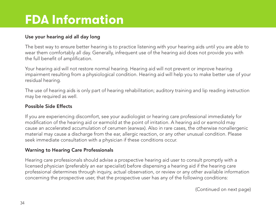# **FDA Information**

#### Use your hearing aid all day long

The best way to ensure better hearing is to practice listening with your hearing aids until you are able to wear them comfortably all day. Generally, infrequent use of the hearing aid does not provide you with the full benefit of amplification.

Your hearing aid will not restore normal hearing. Hearing aid will not prevent or improve hearing impairment resulting from a physiological condition. Hearing aid will help you to make better use of your residual hearing.

The use of hearing aids is only part of hearing rehabilitation; auditory training and lip reading instruction may be required as weIl.

#### Possible Side Effects

If you are experiencing discomfort, see your audiologist or hearing care professional immediately for modification of the hearing aid or earmold at the point of irritation. A hearing aid or earmold may cause an accelerated accumulation of cerumen (earwax). Also in rare cases, the otherwise nonallergenic material may cause a discharge from the ear, allergic reaction, or any other unusual condition. Please seek immediate consultation with a physician if these conditions occur.

#### Warning to Hearing Care Professionals

Hearing care professionals should advise a prospective hearing aid user to consult promptly with a licensed physician (preferably an ear specialist) before dispensing a hearing aid if the hearing care professional determines through inquiry, actual observation, or review or any other available information concerning the prospective user, that the prospective user has any of the following conditions:

(Continued on next page)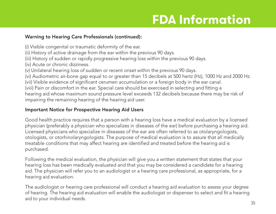# **FDA Information**

#### Warning to Hearing Care Professionals (continued):

- (i) Visible congenital or traumatic deformity of the ear.
- (ii) History of active drainage from the ear within the previous 90 days.
- (iii) History of sudden or rapidly progressive hearing loss within the previous 90 days.
- (iv) Acute or chronic dizziness.
- (v) Unilateral hearing loss of sudden or recent onset within the previous 90 days.
- (vi) Audiometric air-bone gap equal to or greater than 15 decibels at 500 hertz (Hz), 1000 Hz and 2000 Hz.
- (vii) Visible evidence of significant cerumen accumulation or a foreign body in the ear canal.
- (viii) Pain or discomfort in the ear. Special care should be exercised in selecting and fitting a

hearing aid whose maximum sound pressure level exceeds 132 decibels because there may be risk of impairing the remaining hearing of the hearing aid user.

#### Important Notice for Prospective Hearing Aid Users

Good health practice requires that a person with a hearing loss have a medical evaluation by a licensed physician (preferably a physician who specializes in diseases of the ear) before purchasing a hearing aid. Licensed physicians who specialize in diseases of the ear are often referred to as otolaryngologists, otologists, or otorhinolaryngologists. The purpose of medical evaluation is to assure that all medically treatable conditions that may affect hearing are identified and treated before the hearing aid is purchased.

Following the medical evaluation, the physician will give you a written statement that states that your hearing loss has been medically evaluated and that you may be considered a candidate for a hearing aid. The physician will refer you to an audiologist or a hearing care professional, as appropriate, for a hearing aid evaluation.

The audiologist or hearing care professional will conduct a hearing aid evaluation to assess your degree of hearing. The hearing aid evaluation will enable the audiologist or dispenser to select and fit a hearing aid to your individual needs.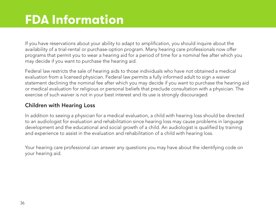# **FDA Information**

If you have reservations about your ability to adapt to amplification, you should inquire about the availability of a trial-rental or purchase-option program. Many hearing care professionals now offer programs that permit you to wear a hearing aid for a period of time for a nominal fee after which you may decide if you want to purchase the hearing aid.

Federal law restricts the sale of hearing aids to those individuals who have not obtained a medical evaluation from a licensed physician. Federal law permits a fully informed adult to sign a waiver statement declining the nominal fee after which you may decide if you want to purchase the hearing aid or medical evaluation for religious or personal beliefs that preclude consultation with a physician. The exercise of such waiver is not in your best interest and its use is strongly discouraged.

#### Children with Hearing Loss

In addition to seeing a physician for a medical evaluation, a child with hearing loss should be directed to an audiologist for evaluation and rehabilitation since hearing loss may cause problems in language development and the educational and social growth of a child. An audiologist is qualified by training and experience to assist in the evaluation and rehabilitation of a child with hearing loss.

Your hearing care professional can answer any questions you may have about the identifying code on your hearing aid.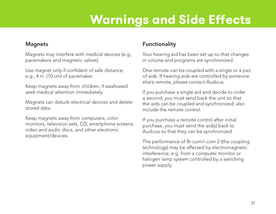# **Warnings and Side Effects**

#### Magnets

Magnets may interfere with medical devices (e.g., pacemakers and magnetic valves).

Use magnet only if confident of safe distance, e.g., 4 in. (10 cm) of pacemaker.

Keep magnets away from children; if swallowed seek medical attention immediately.

Magnets can disturb electrical devices and delete stored data.

Keep magnets away from computers, color monitors, television sets, CD, smartphone screens, video and audio discs, and other electronic equipment/devices.

#### Functionality

Your hearing aid has been set up so that changes in volume and programs are synchronized.

One remote can be coupled with a single or a pair of aids. If hearing aids are controlled by someone else's remote, please contact Audicus.

If you purchase a single aid and decide to order a second, you must send back the unit so that the aids can be coupled and synchronized; also include the remote control.

If you purchase a remote control after initial purchase, you must send the aid(s) back to Audicus so that they can be synchronized.

The performance of Bi-com/i-com 2 (the coupling technology) may be affected by electromagnetic interference, e.g. from a computer monitor or halogen lamp system controlled by a switching power supply.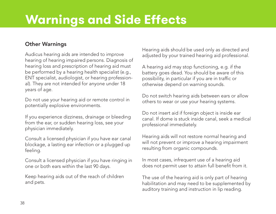# **Warnings and Side Effects**

#### Other Warnings

Audicus hearing aids are intended to improve hearing of hearing impaired persons. Diagnosis of hearing loss and prescription of hearing aid must be performed by a hearing health specialist (e.g., ENT specialist, audiologist, or hearing professional). They are not intended for anyone under 18 years of age.

Do not use your hearing aid or remote control in potentially explosive environments.

If you experience dizziness, drainage or bleeding from the ear, or sudden hearing loss, see your physician immediately.

Consult a licensed physician if you have ear canal blockage, a lasting ear infection or a plugged up feeling.

Consult a licensed physician if you have ringing in one or both ears within the last 90 days.

Keep hearing aids out of the reach of children and pets.

Hearing aids should be used only as directed and adjusted by your trained hearing aid professional.

A hearing aid may stop functioning, e.g. if the battery goes dead. You should be aware of this possibility, in particular if you are in traffic or otherwise depend on warning sounds.

Do not switch hearing aids between ears or allow others to wear or use your hearing systems.

Do not insert aid if foreign object is inside ear canal. If dome is stuck inside canal, seek a medical professional immediately.

Hearing aids will not restore normal hearing and will not prevent or improve a hearing impairment resulting from organic compounds.

In most cases, infrequent use of a hearing aid does not permit user to attain full benefit from it.

The use of the hearing aid is only part of hearing habilitation and may need to be supplemented by auditory training and instruction in lip reading.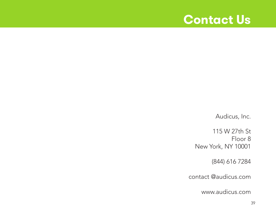#### **Contact Us**

Audicus, Inc.

115 W 27th St Floor 8 New York, NY 10001

(844) 616 7284

contact @audicus.com

www.audicus.com